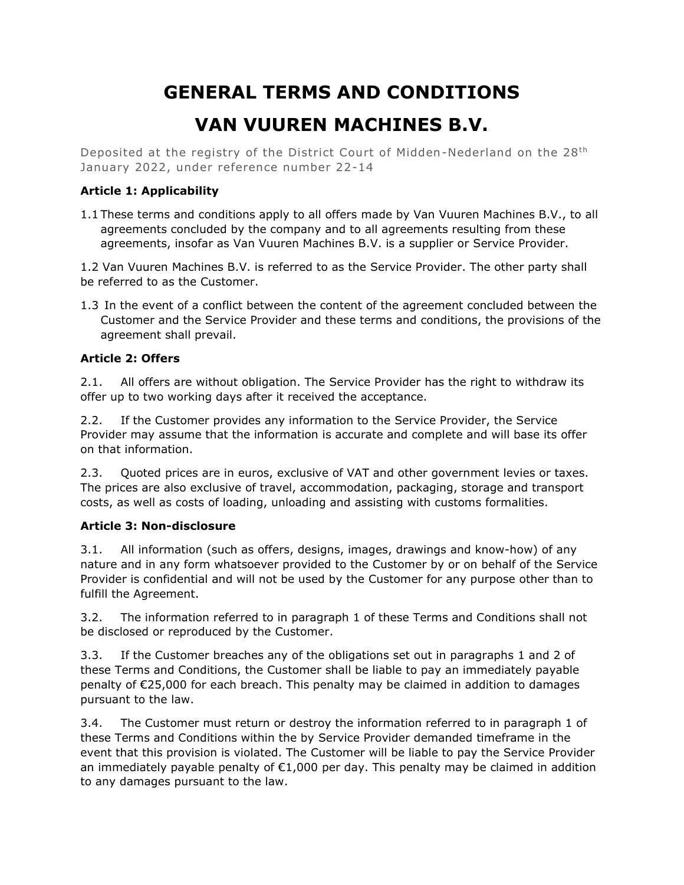# **GENERAL TERMS AND CONDITIONS VAN VUUREN MACHINES B.V.**

Deposited at the registry of the District Court of Midden-Nederland on the 28<sup>th</sup> January 2022, under reference number 22-14

# **Article 1: Applicability**

1.1 These terms and conditions apply to all offers made by Van Vuuren Machines B.V., to all agreements concluded by the company and to all agreements resulting from these agreements, insofar as Van Vuuren Machines B.V. is a supplier or Service Provider.

1.2 Van Vuuren Machines B.V. is referred to as the Service Provider. The other party shall be referred to as the Customer.

1.3 In the event of a conflict between the content of the agreement concluded between the Customer and the Service Provider and these terms and conditions, the provisions of the agreement shall prevail.

# **Article 2: Offers**

2.1. All offers are without obligation. The Service Provider has the right to withdraw its offer up to two working days after it received the acceptance.

2.2. If the Customer provides any information to the Service Provider, the Service Provider may assume that the information is accurate and complete and will base its offer on that information.

2.3. Quoted prices are in euros, exclusive of VAT and other government levies or taxes. The prices are also exclusive of travel, accommodation, packaging, storage and transport costs, as well as costs of loading, unloading and assisting with customs formalities.

## **Article 3: Non-disclosure**

3.1. All information (such as offers, designs, images, drawings and know-how) of any nature and in any form whatsoever provided to the Customer by or on behalf of the Service Provider is confidential and will not be used by the Customer for any purpose other than to fulfill the Agreement.

3.2. The information referred to in paragraph 1 of these Terms and Conditions shall not be disclosed or reproduced by the Customer.

3.3. If the Customer breaches any of the obligations set out in paragraphs 1 and 2 of these Terms and Conditions, the Customer shall be liable to pay an immediately payable penalty of €25,000 for each breach. This penalty may be claimed in addition to damages pursuant to the law.

3.4. The Customer must return or destroy the information referred to in paragraph 1 of these Terms and Conditions within the by Service Provider demanded timeframe in the event that this provision is violated. The Customer will be liable to pay the Service Provider an immediately payable penalty of  $E1,000$  per day. This penalty may be claimed in addition to any damages pursuant to the law.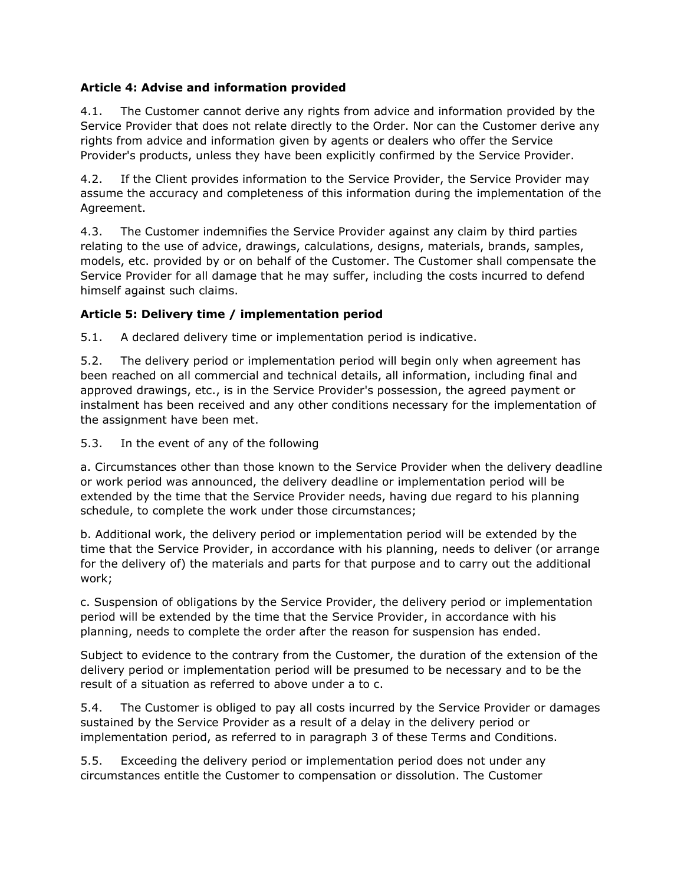# **Article 4: Advise and information provided**

4.1. The Customer cannot derive any rights from advice and information provided by the Service Provider that does not relate directly to the Order. Nor can the Customer derive any rights from advice and information given by agents or dealers who offer the Service Provider's products, unless they have been explicitly confirmed by the Service Provider.

4.2. If the Client provides information to the Service Provider, the Service Provider may assume the accuracy and completeness of this information during the implementation of the Agreement.

4.3. The Customer indemnifies the Service Provider against any claim by third parties relating to the use of advice, drawings, calculations, designs, materials, brands, samples, models, etc. provided by or on behalf of the Customer. The Customer shall compensate the Service Provider for all damage that he may suffer, including the costs incurred to defend himself against such claims.

# **Article 5: Delivery time / implementation period**

5.1. A declared delivery time or implementation period is indicative.

5.2. The delivery period or implementation period will begin only when agreement has been reached on all commercial and technical details, all information, including final and approved drawings, etc., is in the Service Provider's possession, the agreed payment or instalment has been received and any other conditions necessary for the implementation of the assignment have been met.

5.3. In the event of any of the following

a. Circumstances other than those known to the Service Provider when the delivery deadline or work period was announced, the delivery deadline or implementation period will be extended by the time that the Service Provider needs, having due regard to his planning schedule, to complete the work under those circumstances;

b. Additional work, the delivery period or implementation period will be extended by the time that the Service Provider, in accordance with his planning, needs to deliver (or arrange for the delivery of) the materials and parts for that purpose and to carry out the additional work;

c. Suspension of obligations by the Service Provider, the delivery period or implementation period will be extended by the time that the Service Provider, in accordance with his planning, needs to complete the order after the reason for suspension has ended.

Subject to evidence to the contrary from the Customer, the duration of the extension of the delivery period or implementation period will be presumed to be necessary and to be the result of a situation as referred to above under a to c.

5.4. The Customer is obliged to pay all costs incurred by the Service Provider or damages sustained by the Service Provider as a result of a delay in the delivery period or implementation period, as referred to in paragraph 3 of these Terms and Conditions.

5.5. Exceeding the delivery period or implementation period does not under any circumstances entitle the Customer to compensation or dissolution. The Customer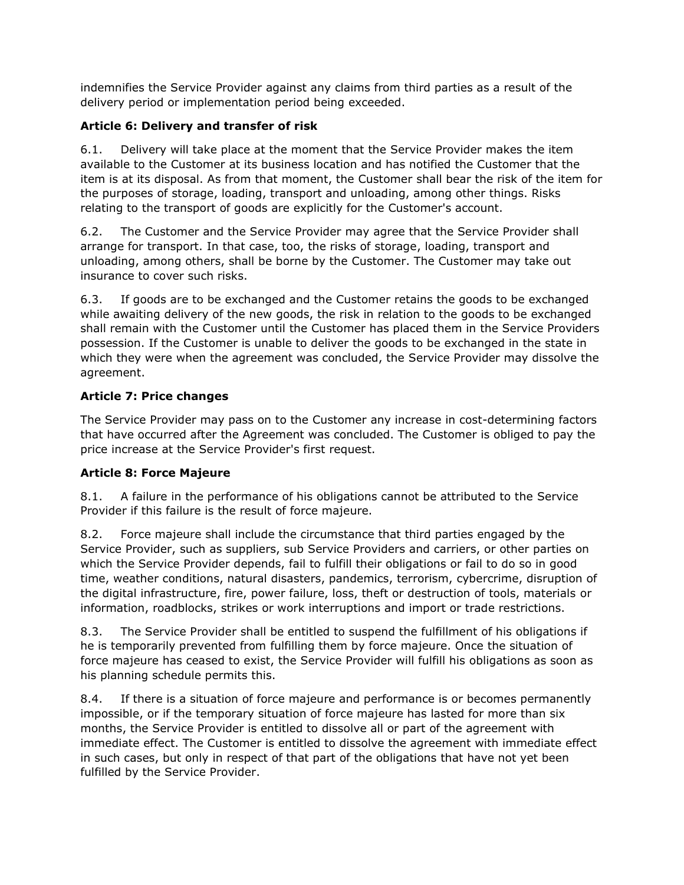indemnifies the Service Provider against any claims from third parties as a result of the delivery period or implementation period being exceeded.

# **Article 6: Delivery and transfer of risk**

6.1. Delivery will take place at the moment that the Service Provider makes the item available to the Customer at its business location and has notified the Customer that the item is at its disposal. As from that moment, the Customer shall bear the risk of the item for the purposes of storage, loading, transport and unloading, among other things. Risks relating to the transport of goods are explicitly for the Customer's account.

6.2. The Customer and the Service Provider may agree that the Service Provider shall arrange for transport. In that case, too, the risks of storage, loading, transport and unloading, among others, shall be borne by the Customer. The Customer may take out insurance to cover such risks.

6.3. If goods are to be exchanged and the Customer retains the goods to be exchanged while awaiting delivery of the new goods, the risk in relation to the goods to be exchanged shall remain with the Customer until the Customer has placed them in the Service Providers possession. If the Customer is unable to deliver the goods to be exchanged in the state in which they were when the agreement was concluded, the Service Provider may dissolve the agreement.

# **Article 7: Price changes**

The Service Provider may pass on to the Customer any increase in cost-determining factors that have occurred after the Agreement was concluded. The Customer is obliged to pay the price increase at the Service Provider's first request.

# **Article 8: Force Majeure**

8.1. A failure in the performance of his obligations cannot be attributed to the Service Provider if this failure is the result of force majeure.

8.2. Force majeure shall include the circumstance that third parties engaged by the Service Provider, such as suppliers, sub Service Providers and carriers, or other parties on which the Service Provider depends, fail to fulfill their obligations or fail to do so in good time, weather conditions, natural disasters, pandemics, terrorism, cybercrime, disruption of the digital infrastructure, fire, power failure, loss, theft or destruction of tools, materials or information, roadblocks, strikes or work interruptions and import or trade restrictions.

8.3. The Service Provider shall be entitled to suspend the fulfillment of his obligations if he is temporarily prevented from fulfilling them by force majeure. Once the situation of force majeure has ceased to exist, the Service Provider will fulfill his obligations as soon as his planning schedule permits this.

8.4. If there is a situation of force majeure and performance is or becomes permanently impossible, or if the temporary situation of force majeure has lasted for more than six months, the Service Provider is entitled to dissolve all or part of the agreement with immediate effect. The Customer is entitled to dissolve the agreement with immediate effect in such cases, but only in respect of that part of the obligations that have not yet been fulfilled by the Service Provider.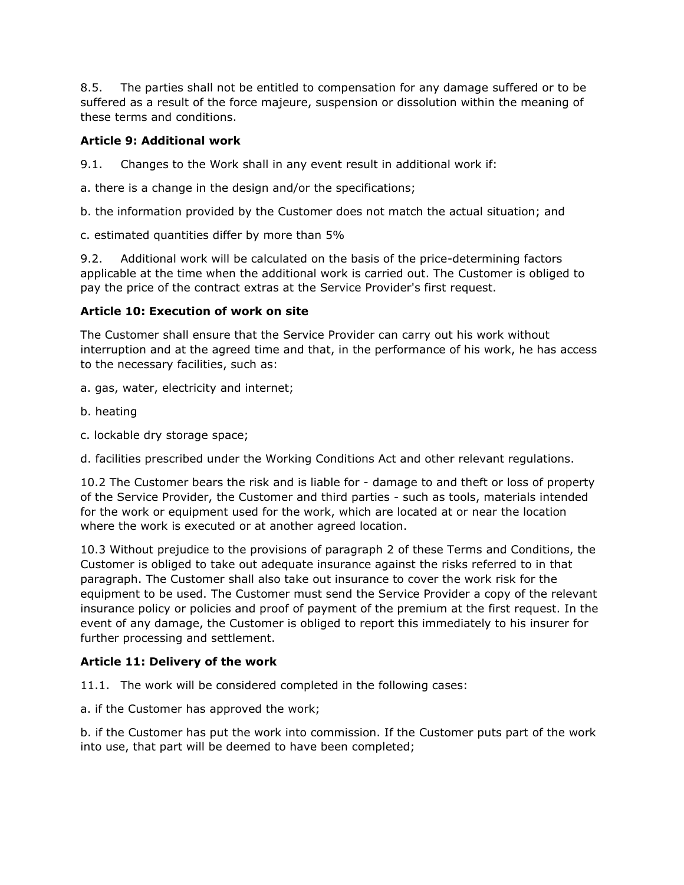8.5. The parties shall not be entitled to compensation for any damage suffered or to be suffered as a result of the force majeure, suspension or dissolution within the meaning of these terms and conditions.

## **Article 9: Additional work**

9.1. Changes to the Work shall in any event result in additional work if:

a. there is a change in the design and/or the specifications;

b. the information provided by the Customer does not match the actual situation; and

c. estimated quantities differ by more than 5%

9.2. Additional work will be calculated on the basis of the price-determining factors applicable at the time when the additional work is carried out. The Customer is obliged to pay the price of the contract extras at the Service Provider's first request.

# **Article 10: Execution of work on site**

The Customer shall ensure that the Service Provider can carry out his work without interruption and at the agreed time and that, in the performance of his work, he has access to the necessary facilities, such as:

- a. gas, water, electricity and internet;
- b. heating
- c. lockable dry storage space;

d. facilities prescribed under the Working Conditions Act and other relevant regulations.

10.2 The Customer bears the risk and is liable for - damage to and theft or loss of property of the Service Provider, the Customer and third parties - such as tools, materials intended for the work or equipment used for the work, which are located at or near the location where the work is executed or at another agreed location.

10.3 Without prejudice to the provisions of paragraph 2 of these Terms and Conditions, the Customer is obliged to take out adequate insurance against the risks referred to in that paragraph. The Customer shall also take out insurance to cover the work risk for the equipment to be used. The Customer must send the Service Provider a copy of the relevant insurance policy or policies and proof of payment of the premium at the first request. In the event of any damage, the Customer is obliged to report this immediately to his insurer for further processing and settlement.

## **Article 11: Delivery of the work**

11.1. The work will be considered completed in the following cases:

a. if the Customer has approved the work;

b. if the Customer has put the work into commission. If the Customer puts part of the work into use, that part will be deemed to have been completed;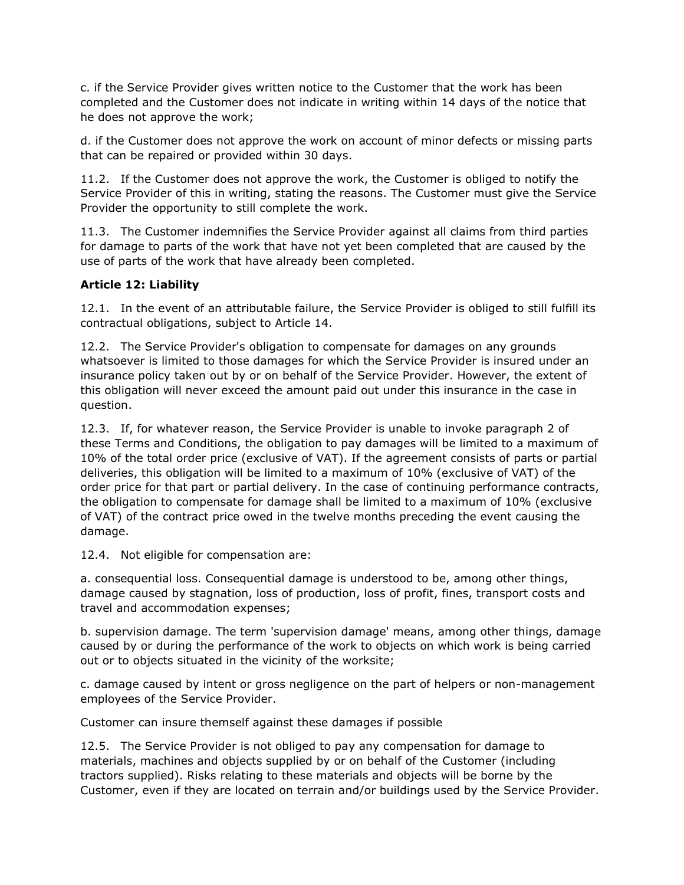c. if the Service Provider gives written notice to the Customer that the work has been completed and the Customer does not indicate in writing within 14 days of the notice that he does not approve the work;

d. if the Customer does not approve the work on account of minor defects or missing parts that can be repaired or provided within 30 days.

11.2. If the Customer does not approve the work, the Customer is obliged to notify the Service Provider of this in writing, stating the reasons. The Customer must give the Service Provider the opportunity to still complete the work.

11.3. The Customer indemnifies the Service Provider against all claims from third parties for damage to parts of the work that have not yet been completed that are caused by the use of parts of the work that have already been completed.

## **Article 12: Liability**

12.1. In the event of an attributable failure, the Service Provider is obliged to still fulfill its contractual obligations, subject to Article 14.

12.2. The Service Provider's obligation to compensate for damages on any grounds whatsoever is limited to those damages for which the Service Provider is insured under an insurance policy taken out by or on behalf of the Service Provider. However, the extent of this obligation will never exceed the amount paid out under this insurance in the case in question.

12.3. If, for whatever reason, the Service Provider is unable to invoke paragraph 2 of these Terms and Conditions, the obligation to pay damages will be limited to a maximum of 10% of the total order price (exclusive of VAT). If the agreement consists of parts or partial deliveries, this obligation will be limited to a maximum of 10% (exclusive of VAT) of the order price for that part or partial delivery. In the case of continuing performance contracts, the obligation to compensate for damage shall be limited to a maximum of 10% (exclusive of VAT) of the contract price owed in the twelve months preceding the event causing the damage.

12.4. Not eligible for compensation are:

a. consequential loss. Consequential damage is understood to be, among other things, damage caused by stagnation, loss of production, loss of profit, fines, transport costs and travel and accommodation expenses;

b. supervision damage. The term 'supervision damage' means, among other things, damage caused by or during the performance of the work to objects on which work is being carried out or to objects situated in the vicinity of the worksite;

c. damage caused by intent or gross negligence on the part of helpers or non-management employees of the Service Provider.

Customer can insure themself against these damages if possible

12.5. The Service Provider is not obliged to pay any compensation for damage to materials, machines and objects supplied by or on behalf of the Customer (including tractors supplied). Risks relating to these materials and objects will be borne by the Customer, even if they are located on terrain and/or buildings used by the Service Provider.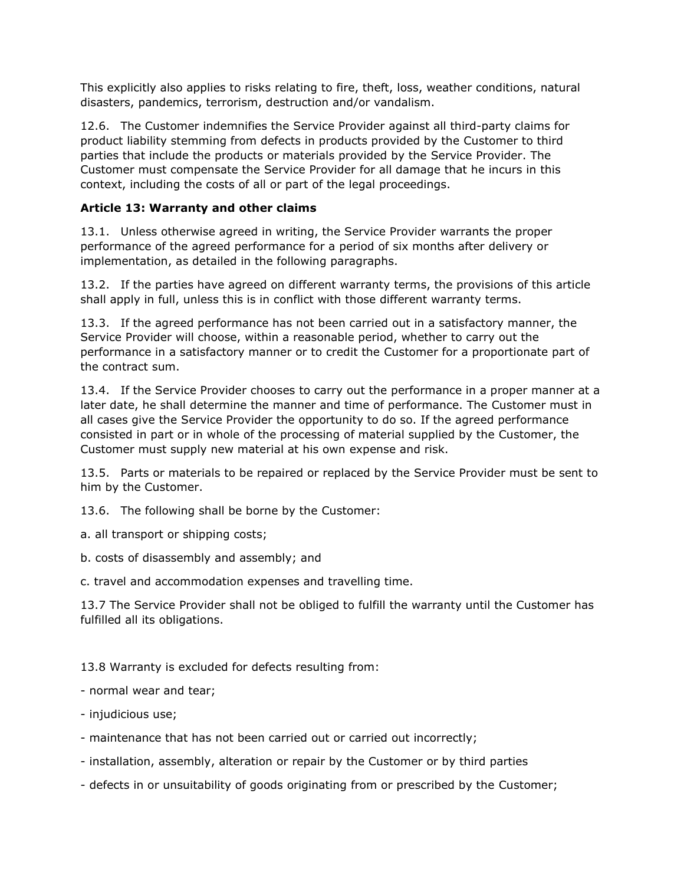This explicitly also applies to risks relating to fire, theft, loss, weather conditions, natural disasters, pandemics, terrorism, destruction and/or vandalism.

12.6. The Customer indemnifies the Service Provider against all third-party claims for product liability stemming from defects in products provided by the Customer to third parties that include the products or materials provided by the Service Provider. The Customer must compensate the Service Provider for all damage that he incurs in this context, including the costs of all or part of the legal proceedings.

# **Article 13: Warranty and other claims**

13.1. Unless otherwise agreed in writing, the Service Provider warrants the proper performance of the agreed performance for a period of six months after delivery or implementation, as detailed in the following paragraphs.

13.2. If the parties have agreed on different warranty terms, the provisions of this article shall apply in full, unless this is in conflict with those different warranty terms.

13.3. If the agreed performance has not been carried out in a satisfactory manner, the Service Provider will choose, within a reasonable period, whether to carry out the performance in a satisfactory manner or to credit the Customer for a proportionate part of the contract sum.

13.4. If the Service Provider chooses to carry out the performance in a proper manner at a later date, he shall determine the manner and time of performance. The Customer must in all cases give the Service Provider the opportunity to do so. If the agreed performance consisted in part or in whole of the processing of material supplied by the Customer, the Customer must supply new material at his own expense and risk.

13.5. Parts or materials to be repaired or replaced by the Service Provider must be sent to him by the Customer.

13.6. The following shall be borne by the Customer:

a. all transport or shipping costs;

b. costs of disassembly and assembly; and

c. travel and accommodation expenses and travelling time.

13.7 The Service Provider shall not be obliged to fulfill the warranty until the Customer has fulfilled all its obligations.

13.8 Warranty is excluded for defects resulting from:

- normal wear and tear;
- injudicious use;
- maintenance that has not been carried out or carried out incorrectly;
- installation, assembly, alteration or repair by the Customer or by third parties
- defects in or unsuitability of goods originating from or prescribed by the Customer;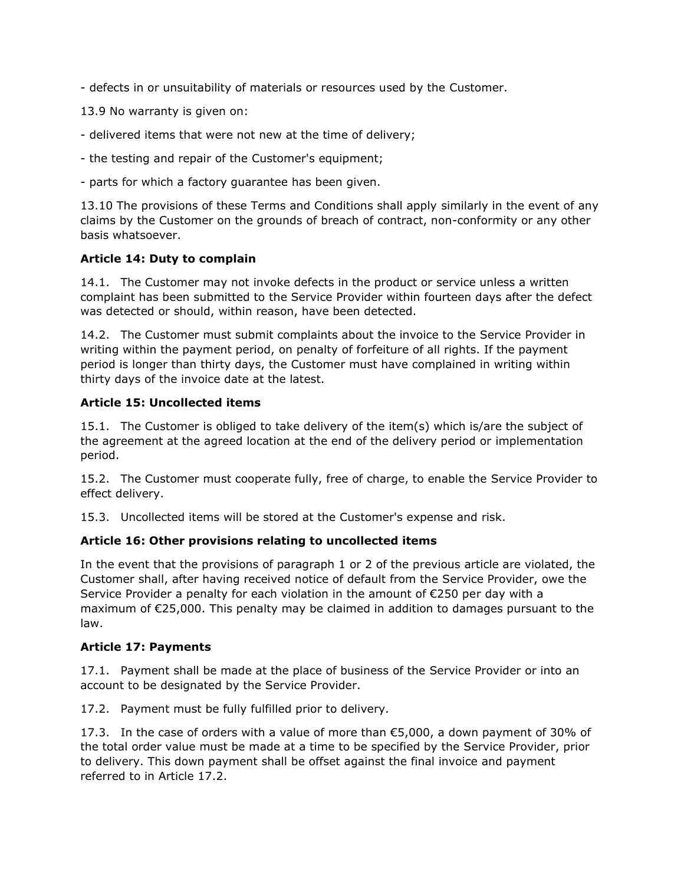- defects in or unsuitability of materials or resources used by the Customer.

13.9 No warranty is given on:

- delivered items that were not new at the time of delivery;
- the testing and repair of the Customer's equipment;
- parts for which a factory guarantee has been given.

13.10 The provisions of these Terms and Conditions shall apply similarly in the event of any claims by the Customer on the grounds of breach of contract, non-conformity or any other basis whatsoever.

## **Article 14: Duty to complain**

14.1. The Customer may not invoke defects in the product or service unless a written complaint has been submitted to the Service Provider within fourteen days after the defect was detected or should, within reason, have been detected.

14.2. The Customer must submit complaints about the invoice to the Service Provider in writing within the payment period, on penalty of forfeiture of all rights. If the payment period is longer than thirty days, the Customer must have complained in writing within thirty days of the invoice date at the latest.

#### **Article 15: Uncollected items**

15.1. The Customer is obliged to take delivery of the item(s) which is/are the subject of the agreement at the agreed location at the end of the delivery period or implementation period.

15.2. The Customer must cooperate fully, free of charge, to enable the Service Provider to effect delivery.

15.3. Uncollected items will be stored at the Customer's expense and risk.

## **Article 16: Other provisions relating to uncollected items**

In the event that the provisions of paragraph 1 or 2 of the previous article are violated, the Customer shall, after having received notice of default from the Service Provider, owe the Service Provider a penalty for each violation in the amount of €250 per day with a maximum of €25,000. This penalty may be claimed in addition to damages pursuant to the law.

#### **Article 17: Payments**

17.1. Payment shall be made at the place of business of the Service Provider or into an account to be designated by the Service Provider.

17.2. Payment must be fully fulfilled prior to delivery.

17.3. In the case of orders with a value of more than  $\epsilon$ 5,000, a down payment of 30% of the total order value must be made at a time to be specified by the Service Provider, prior to delivery. This down payment shall be offset against the final invoice and payment referred to in Article 17.2.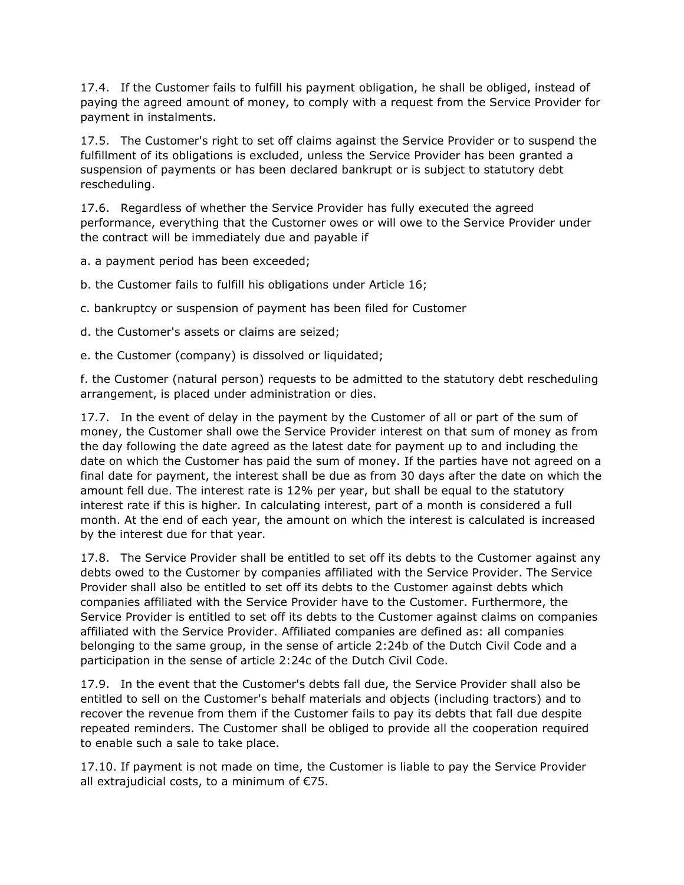17.4. If the Customer fails to fulfill his payment obligation, he shall be obliged, instead of paying the agreed amount of money, to comply with a request from the Service Provider for payment in instalments.

17.5. The Customer's right to set off claims against the Service Provider or to suspend the fulfillment of its obligations is excluded, unless the Service Provider has been granted a suspension of payments or has been declared bankrupt or is subject to statutory debt rescheduling.

17.6. Regardless of whether the Service Provider has fully executed the agreed performance, everything that the Customer owes or will owe to the Service Provider under the contract will be immediately due and payable if

a. a payment period has been exceeded;

b. the Customer fails to fulfill his obligations under Article 16;

c. bankruptcy or suspension of payment has been filed for Customer

d. the Customer's assets or claims are seized;

e. the Customer (company) is dissolved or liquidated;

f. the Customer (natural person) requests to be admitted to the statutory debt rescheduling arrangement, is placed under administration or dies.

17.7. In the event of delay in the payment by the Customer of all or part of the sum of money, the Customer shall owe the Service Provider interest on that sum of money as from the day following the date agreed as the latest date for payment up to and including the date on which the Customer has paid the sum of money. If the parties have not agreed on a final date for payment, the interest shall be due as from 30 days after the date on which the amount fell due. The interest rate is 12% per year, but shall be equal to the statutory interest rate if this is higher. In calculating interest, part of a month is considered a full month. At the end of each year, the amount on which the interest is calculated is increased by the interest due for that year.

17.8. The Service Provider shall be entitled to set off its debts to the Customer against any debts owed to the Customer by companies affiliated with the Service Provider. The Service Provider shall also be entitled to set off its debts to the Customer against debts which companies affiliated with the Service Provider have to the Customer. Furthermore, the Service Provider is entitled to set off its debts to the Customer against claims on companies affiliated with the Service Provider. Affiliated companies are defined as: all companies belonging to the same group, in the sense of article 2:24b of the Dutch Civil Code and a participation in the sense of article 2:24c of the Dutch Civil Code.

17.9. In the event that the Customer's debts fall due, the Service Provider shall also be entitled to sell on the Customer's behalf materials and objects (including tractors) and to recover the revenue from them if the Customer fails to pay its debts that fall due despite repeated reminders. The Customer shall be obliged to provide all the cooperation required to enable such a sale to take place.

17.10. If payment is not made on time, the Customer is liable to pay the Service Provider all extrajudicial costs, to a minimum of €75.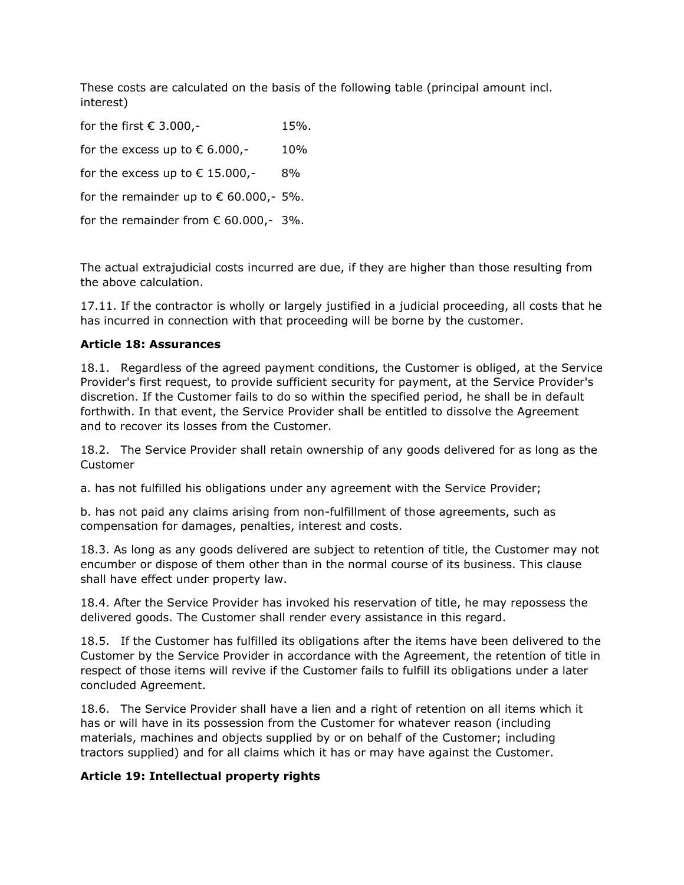These costs are calculated on the basis of the following table (principal amount incl. interest)

for the first  $€ 3.000,-$  15%. for the excess up to  $\epsilon$  6.000,- 10% for the excess up to  $\epsilon$  15.000,- 8% for the remainder up to  $\epsilon$  60.000,- 5%. for the remainder from  $\epsilon$  60.000,- 3%.

The actual extrajudicial costs incurred are due, if they are higher than those resulting from the above calculation.

17.11. If the contractor is wholly or largely justified in a judicial proceeding, all costs that he has incurred in connection with that proceeding will be borne by the customer.

## **Article 18: Assurances**

18.1. Regardless of the agreed payment conditions, the Customer is obliged, at the Service Provider's first request, to provide sufficient security for payment, at the Service Provider's discretion. If the Customer fails to do so within the specified period, he shall be in default forthwith. In that event, the Service Provider shall be entitled to dissolve the Agreement and to recover its losses from the Customer.

18.2. The Service Provider shall retain ownership of any goods delivered for as long as the Customer

a. has not fulfilled his obligations under any agreement with the Service Provider;

b. has not paid any claims arising from non-fulfillment of those agreements, such as compensation for damages, penalties, interest and costs.

18.3. As long as any goods delivered are subject to retention of title, the Customer may not encumber or dispose of them other than in the normal course of its business. This clause shall have effect under property law.

18.4. After the Service Provider has invoked his reservation of title, he may repossess the delivered goods. The Customer shall render every assistance in this regard.

18.5. If the Customer has fulfilled its obligations after the items have been delivered to the Customer by the Service Provider in accordance with the Agreement, the retention of title in respect of those items will revive if the Customer fails to fulfill its obligations under a later concluded Agreement.

18.6. The Service Provider shall have a lien and a right of retention on all items which it has or will have in its possession from the Customer for whatever reason (including materials, machines and objects supplied by or on behalf of the Customer; including tractors supplied) and for all claims which it has or may have against the Customer.

## **Article 19: Intellectual property rights**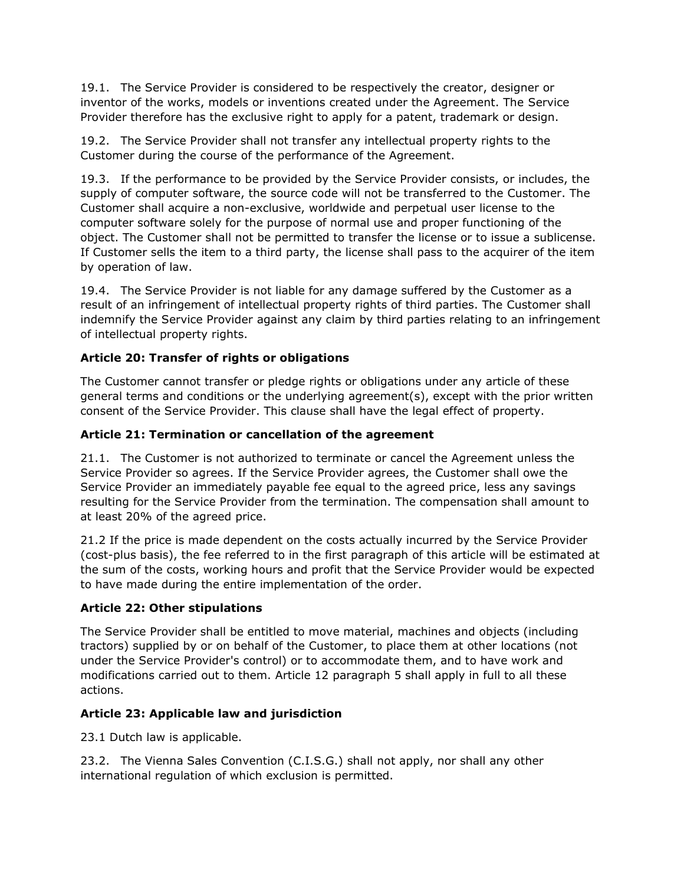19.1. The Service Provider is considered to be respectively the creator, designer or inventor of the works, models or inventions created under the Agreement. The Service Provider therefore has the exclusive right to apply for a patent, trademark or design.

19.2. The Service Provider shall not transfer any intellectual property rights to the Customer during the course of the performance of the Agreement.

19.3. If the performance to be provided by the Service Provider consists, or includes, the supply of computer software, the source code will not be transferred to the Customer. The Customer shall acquire a non-exclusive, worldwide and perpetual user license to the computer software solely for the purpose of normal use and proper functioning of the object. The Customer shall not be permitted to transfer the license or to issue a sublicense. If Customer sells the item to a third party, the license shall pass to the acquirer of the item by operation of law.

19.4. The Service Provider is not liable for any damage suffered by the Customer as a result of an infringement of intellectual property rights of third parties. The Customer shall indemnify the Service Provider against any claim by third parties relating to an infringement of intellectual property rights.

# **Article 20: Transfer of rights or obligations**

The Customer cannot transfer or pledge rights or obligations under any article of these general terms and conditions or the underlying agreement(s), except with the prior written consent of the Service Provider. This clause shall have the legal effect of property.

## **Article 21: Termination or cancellation of the agreement**

21.1. The Customer is not authorized to terminate or cancel the Agreement unless the Service Provider so agrees. If the Service Provider agrees, the Customer shall owe the Service Provider an immediately payable fee equal to the agreed price, less any savings resulting for the Service Provider from the termination. The compensation shall amount to at least 20% of the agreed price.

21.2 If the price is made dependent on the costs actually incurred by the Service Provider (cost-plus basis), the fee referred to in the first paragraph of this article will be estimated at the sum of the costs, working hours and profit that the Service Provider would be expected to have made during the entire implementation of the order.

## **Article 22: Other stipulations**

The Service Provider shall be entitled to move material, machines and objects (including tractors) supplied by or on behalf of the Customer, to place them at other locations (not under the Service Provider's control) or to accommodate them, and to have work and modifications carried out to them. Article 12 paragraph 5 shall apply in full to all these actions.

## **Article 23: Applicable law and jurisdiction**

23.1 Dutch law is applicable.

23.2. The Vienna Sales Convention (C.I.S.G.) shall not apply, nor shall any other international regulation of which exclusion is permitted.